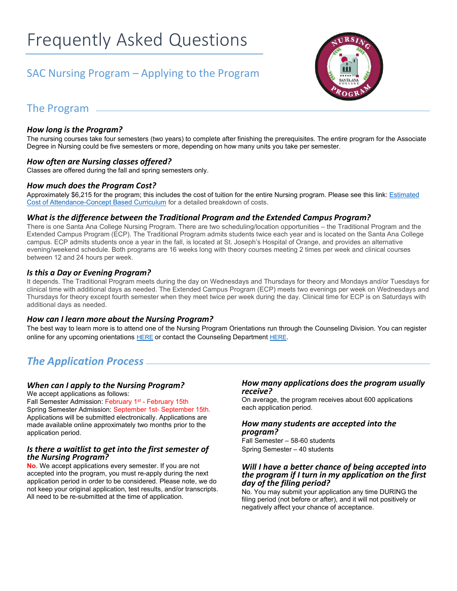# SAC Nursing Program – Applying to the Program



# The Program

# *How long is the Program?*

The nursing courses take four semesters (two years) to complete after finishing the prerequisites. The entire program for the Associate Degree in Nursing could be five semesters or more, depending on how many units you take per semester.

## *How often are Nursing classes offered?*

Classes are offered during the fall and spring semesters only.

#### *How much does the Program Cost?*

Approximately \$6,215 for the program; this includes the cost of tuition for the entire Nursing program. Please see this link: [Estimated](https://sac.edu/AcademicProgs/ScienceMathHealth/Nursing/Documents/Estimated%20Cost%20Of%20Attendance_August2019.pdf) Cost of [Attendance-Concept Based](https://sac.edu/AcademicProgs/ScienceMathHealth/Nursing/Documents/Estimated%20Cost%20Of%20Attendance_August2019.pdf) Curriculum for a detailed breakdown of costs.

# *What is the difference between the Traditional Program and the Extended Campus Program?*

There is one Santa Ana College Nursing Program. There are two scheduling/location opportunities – the Traditional Program and the Extended Campus Program (ECP). The Traditional Program admits students twice each year and is located on the Santa Ana College campus. ECP admits students once a year in the fall, is located at St. Joseph's Hospital of Orange, and provides an alternative evening/weekend schedule. Both programs are 16 weeks long with theory courses meeting 2 times per week and clinical courses between 12 and 24 hours per week.

## *Is this a Day or Evening Program?*

It depends. The Traditional Program meets during the day on Wednesdays and Thursdays for theory and Mondays and/or Tuesdays for clinical time with additional days as needed. The Extended Campus Program (ECP) meets two evenings per week on Wednesdays and Thursdays for theory except fourth semester when they meet twice per week during the day. Clinical time for ECP is on Saturdays with additional days as needed.

### *How can I learn more about the Nursing Program?*

The best way to learn more is to attend one of the Nursing Program Orientations run through the Counseling Division. You can register online for any upcoming orientations [HERE](https://www.sac.edu/StudentServices/Counseling/Pages/default.aspx) or contact the Counseling Department [HERE.](https://sac.edu/StudentServices/Counseling/Pages/Contact-Us-Online.aspx)

# *The Application Process*

# *When can I apply to the Nursing Program?*

We accept applications as follows:

Fall Semester Admission: February 1st - February 15th Spring Semester Admission: September 1st- September 15th. Applications will be submitted electronically. Applications are made available online approximately two months prior to the application period.

### *Is there a waitlist to get into the first semester of the Nursing Program?*

**No**. We accept applications every semester. If you are not accepted into the program, you must re-apply during the next application period in order to be considered. Please note, we do not keep your original application, test results, and/or transcripts. All need to be re-submitted at the time of application.

### *How many applications does the program usually receive?*

On average, the program receives about 600 applications each application period.

### *How many students are accepted into the program?*

Fall Semester – 58-60 students Spring Semester – 40 students

### *Will I have a better chance of being accepted into the program if I turn in my application on the first day of the filing period?*

No. You may submit your application any time DURING the filing period (not before or after), and it will not positively or negatively affect your chance of acceptance.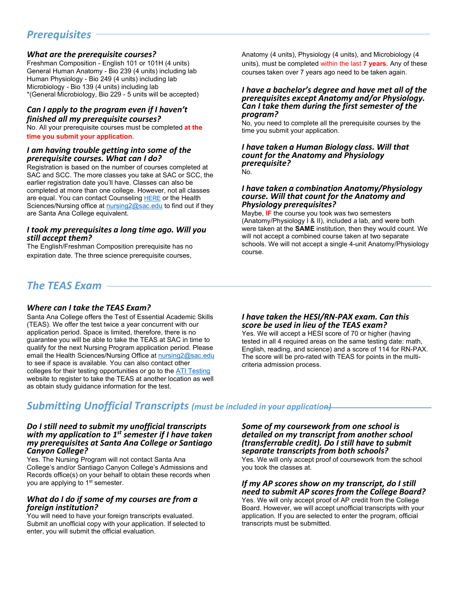# *Prerequisites*

# *What are the prerequisite courses?*

Freshman Composition - English 101 or 101H (4 units) General Human Anatomy - Bio 239 (4 units) including lab Human Physiology - Bio 249 (4 units) including lab Microbiology - Bio 139 (4 units) including lab \*(General Microbiology, Bio 229 - 5 units will be accepted)

# *Can I apply to the program even if I haven't finished all my prerequisite courses?*

No. All your prerequisite courses must be completed **at the time you submit your application**.

### *I am having trouble getting into some of the prerequisite courses. What can I do?*

Registration is based on the number of courses completed at SAC and SCC. The more classes you take at SAC or SCC, the earlier registration date you'll have. Classes can also be completed at more than one college. However, not all classes are equal. You can contact Counseling **HERE** or the Health Sciences/Nursing office a[t nursing2@sac.edu](mailto:nursing2@sac.edu) to find out if they are Santa Ana College equivalent.

### *I took my prerequisites a long time ago. Will you still accept them?*

The English/Freshman Composition prerequisite has no expiration date. The three science prerequisite courses,

Anatomy (4 units), Physiology (4 units), and Microbiology (4 units), must be completed within the last **7 years**. Any of these courses taken over 7 years ago need to be taken again.

#### *I have a bachelor's degree and have met all of the prerequisites except Anatomy and/or Physiology. Can I take them during the first semester of the program?*

No, you need to complete all the prerequisite courses by the time you submit your application.

*I have taken a Human Biology class. Will that count for the Anatomy and Physiology prerequisite?* No.

### *I have taken a combination Anatomy/Physiology course. Will that count for the Anatomy and Physiology prerequisites?*

Maybe, **IF** the course you took was two semesters (Anatomy/Physiology I & II), included a lab, and were both were taken at the **SAME** institution, then they would count. We will not accept a combined course taken at two separate schools. We will not accept a single 4-unit Anatomy/Physiology course.

# *The TEAS Exam*

# *Where can I take the TEAS Exam?*

Santa Ana College offers the Test of Essential Academic Skills (TEAS). We offer the test twice a year concurrent with our application period. Space is limited, therefore, there is no guarantee you will be able to take the TEAS at SAC in time to qualify for the next Nursing Program application period. Please email the Health Sciences/Nursing Office at [nursing2@sac.edu](mailto:nursing2@sac.edu) to see if space is available. You can also contact other colleges for their testing opportunities or go to the **ATI Testing** website to register to take the TEAS at another location as well as obtain study guidance information for the test.

## *I have taken the HESI/RN-PAX exam. Can this score be used in lieu of the TEAS exam?*

Yes. We will accept a HESI score of 70 or higher (having tested in all 4 required areas on the same testing date: math, English, reading, and science) and a score of 114 for RN-PAX. The score will be pro-rated with TEAS for points in the multicriteria admission process.

# *Submitting Unofficial Transcripts (must be included in your application)*

### *Do I still need to submit my unofficial transcripts with my application to 1st semester if I have taken my prerequisites at Santa Ana College or Santiago Canyon College?*

Yes. The Nursing Program will not contact Santa Ana College's and/or Santiago Canyon College's Admissions and Records office(s) on your behalf to obtain these records when you are applying to 1<sup>st</sup> semester.

## *What do I do if some of my courses are from a foreign institution?*

You will need to have your foreign transcripts evaluated. Submit an unofficial copy with your application. If selected to enter, you will submit the official evaluation.

*Some of my coursework from one school is detailed on my transcript from another school (transferrable credit). Do I still have to submit separate transcripts from both schools?*

Yes. We will only accept proof of coursework from the school you took the classes at.

#### *If my AP scores show on my transcript, do I still need to submit AP scores from the College Board?* Yes. We will only accept proof of AP credit from the College Board. However, we will accept unofficial transcripts with your application. If you are selected to enter the program, official transcripts must be submitted.